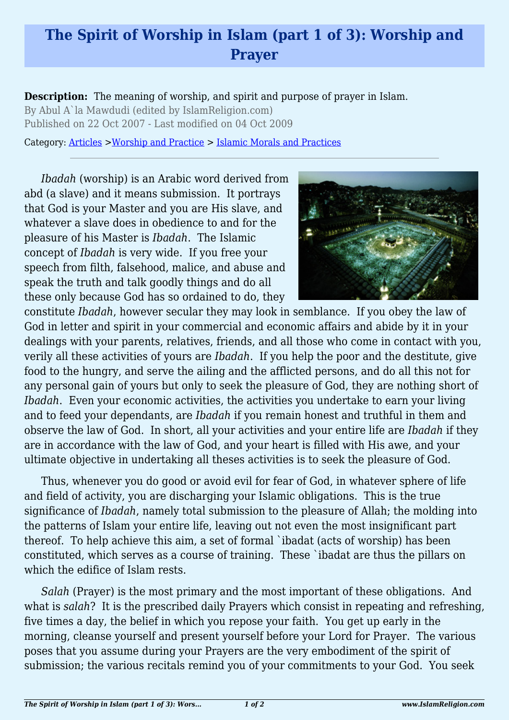## **The Spirit of Worship in Islam (part 1 of 3): Worship and Prayer**

**Description:** The meaning of worship, and spirit and purpose of prayer in Islam.

By Abul A`la Mawdudi (edited by IslamReligion.com) Published on 22 Oct 2007 - Last modified on 04 Oct 2009

Category: [Articles](http://www.islamreligion.com/articles/) >[Worship and Practice](http://www.islamreligion.com/category/55/) > [Islamic Morals and Practices](http://www.islamreligion.com/category/58/)

*Ibadah* (worship) is an Arabic word derived from abd (a slave) and it means submission. It portrays that God is your Master and you are His slave, and whatever a slave does in obedience to and for the pleasure of his Master is *Ibadah*. The Islamic concept of *Ibadah* is very wide. If you free your speech from filth, falsehood, malice, and abuse and speak the truth and talk goodly things and do all these only because God has so ordained to do, they



constitute *Ibadah*, however secular they may look in semblance. If you obey the law of God in letter and spirit in your commercial and economic affairs and abide by it in your dealings with your parents, relatives, friends, and all those who come in contact with you, verily all these activities of yours are *Ibadah*. If you help the poor and the destitute, give food to the hungry, and serve the ailing and the afflicted persons, and do all this not for any personal gain of yours but only to seek the pleasure of God, they are nothing short of *Ibadah*. Even your economic activities, the activities you undertake to earn your living and to feed your dependants, are *Ibadah* if you remain honest and truthful in them and observe the law of God. In short, all your activities and your entire life are *Ibadah* if they are in accordance with the law of God, and your heart is filled with His awe, and your ultimate objective in undertaking all theses activities is to seek the pleasure of God.

Thus, whenever you do good or avoid evil for fear of God, in whatever sphere of life and field of activity, you are discharging your Islamic obligations. This is the true significance of *Ibadah*, namely total submission to the pleasure of Allah; the molding into the patterns of Islam your entire life, leaving out not even the most insignificant part thereof. To help achieve this aim, a set of formal `ibadat (acts of worship) has been constituted, which serves as a course of training. These `ibadat are thus the pillars on which the edifice of Islam rests.

*Salah* (Prayer) is the most primary and the most important of these obligations. And what is *salah*? It is the prescribed daily Prayers which consist in repeating and refreshing, five times a day, the belief in which you repose your faith. You get up early in the morning, cleanse yourself and present yourself before your Lord for Prayer. The various poses that you assume during your Prayers are the very embodiment of the spirit of submission; the various recitals remind you of your commitments to your God. You seek